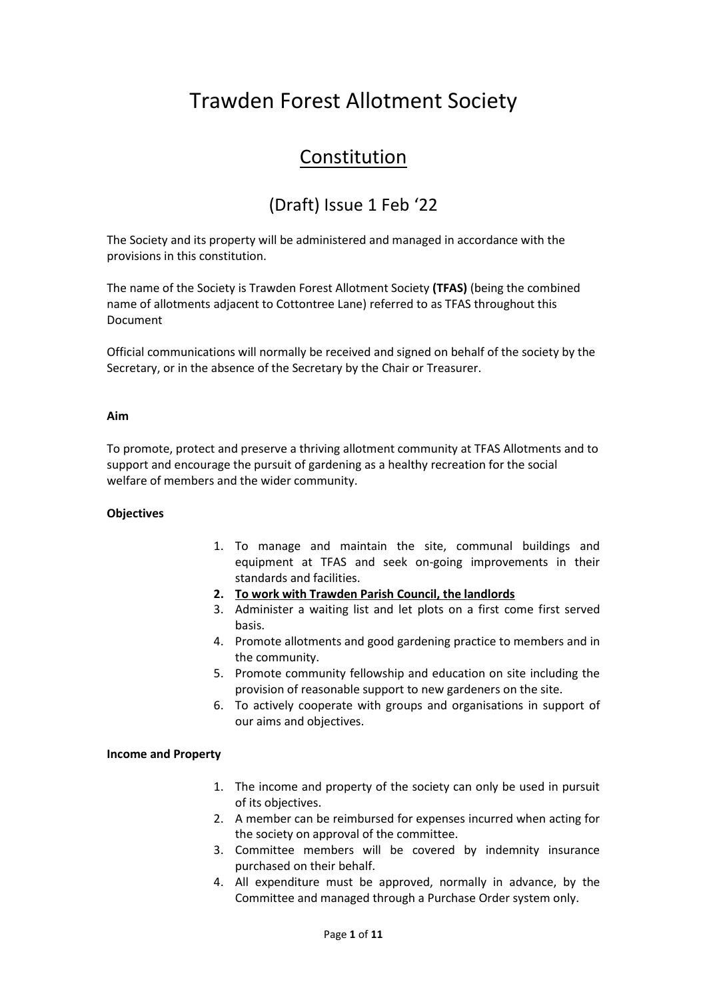# Trawden Forest Allotment Society

## Constitution

## (Draft) Issue 1 Feb '22

The Society and its property will be administered and managed in accordance with the provisions in this constitution.

The name of the Society is Trawden Forest Allotment Society **(TFAS)** (being the combined name of allotments adjacent to Cottontree Lane) referred to as TFAS throughout this Document

Official communications will normally be received and signed on behalf of the society by the Secretary, or in the absence of the Secretary by the Chair or Treasurer.

## **Aim**

To promote, protect and preserve a thriving allotment community at TFAS Allotments and to support and encourage the pursuit of gardening as a healthy recreation for the social welfare of members and the wider community.

## **Objectives**

- 1. To manage and maintain the site, communal buildings and equipment at TFAS and seek on-going improvements in their standards and facilities.
- **2. To work with Trawden Parish Council, the landlords**
- 3. Administer a waiting list and let plots on a first come first served basis.
- 4. Promote allotments and good gardening practice to members and in the community.
- 5. Promote community fellowship and education on site including the provision of reasonable support to new gardeners on the site.
- 6. To actively cooperate with groups and organisations in support of our aims and objectives.

## **Income and Property**

- 1. The income and property of the society can only be used in pursuit of its objectives.
- 2. A member can be reimbursed for expenses incurred when acting for the society on approval of the committee.
- 3. Committee members will be covered by indemnity insurance purchased on their behalf.
- 4. All expenditure must be approved, normally in advance, by the Committee and managed through a Purchase Order system only.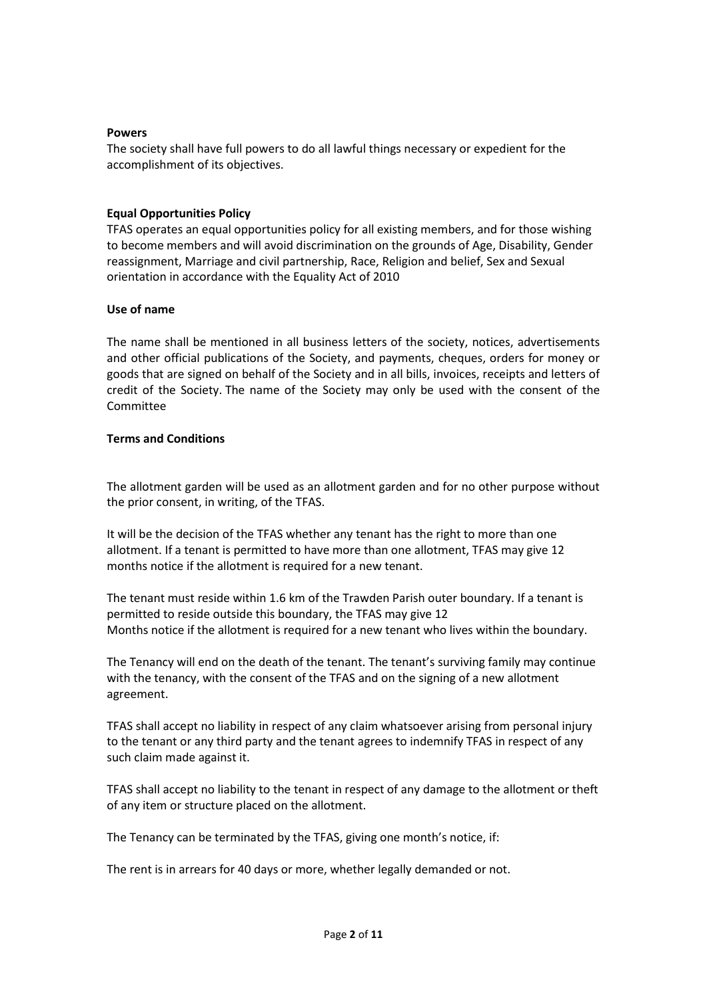#### **Powers**

The society shall have full powers to do all lawful things necessary or expedient for the accomplishment of its objectives.

#### **Equal Opportunities Policy**

TFAS operates an equal opportunities policy for all existing members, and for those wishing to become members and will avoid discrimination on the grounds of Age, Disability, Gender reassignment, Marriage and civil partnership, Race, Religion and belief, Sex and Sexual orientation in accordance with the Equality Act of 2010

#### **Use of name**

The name shall be mentioned in all business letters of the society, notices, advertisements and other official publications of the Society, and payments, cheques, orders for money or goods that are signed on behalf of the Society and in all bills, invoices, receipts and letters of credit of the Society. The name of the Society may only be used with the consent of the Committee

## **Terms and Conditions**

The allotment garden will be used as an allotment garden and for no other purpose without the prior consent, in writing, of the TFAS.

It will be the decision of the TFAS whether any tenant has the right to more than one allotment. If a tenant is permitted to have more than one allotment, TFAS may give 12 months notice if the allotment is required for a new tenant.

The tenant must reside within 1.6 km of the Trawden Parish outer boundary. If a tenant is permitted to reside outside this boundary, the TFAS may give 12 Months notice if the allotment is required for a new tenant who lives within the boundary.

The Tenancy will end on the death of the tenant. The tenant's surviving family may continue with the tenancy, with the consent of the TFAS and on the signing of a new allotment agreement.

TFAS shall accept no liability in respect of any claim whatsoever arising from personal injury to the tenant or any third party and the tenant agrees to indemnify TFAS in respect of any such claim made against it.

TFAS shall accept no liability to the tenant in respect of any damage to the allotment or theft of any item or structure placed on the allotment.

The Tenancy can be terminated by the TFAS, giving one month's notice, if:

The rent is in arrears for 40 days or more, whether legally demanded or not.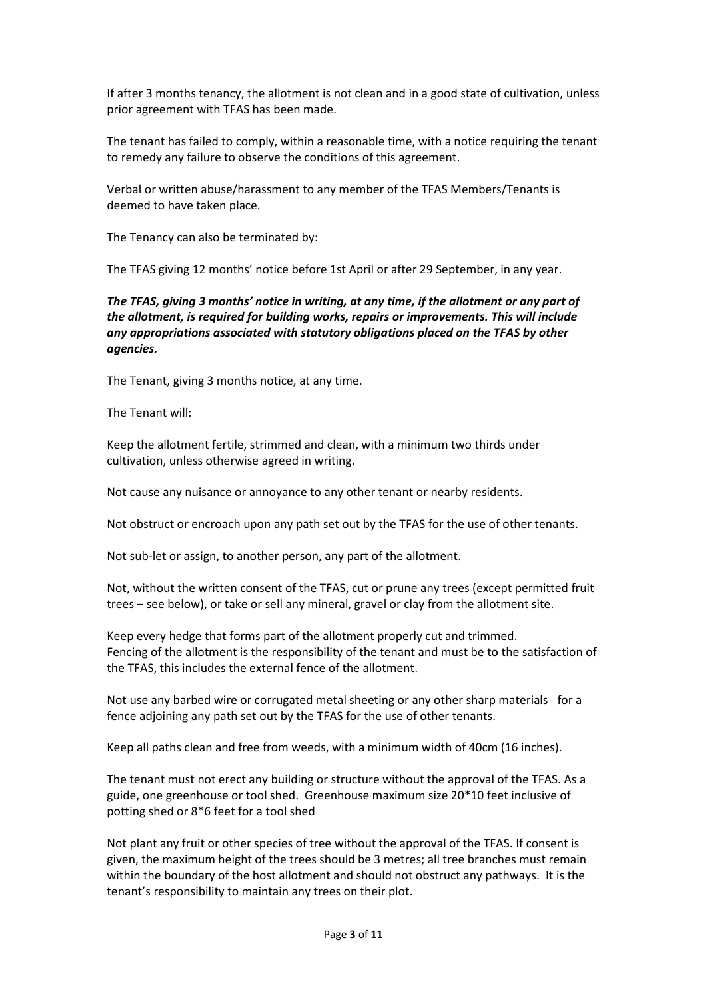If after 3 months tenancy, the allotment is not clean and in a good state of cultivation, unless prior agreement with TFAS has been made.

The tenant has failed to comply, within a reasonable time, with a notice requiring the tenant to remedy any failure to observe the conditions of this agreement.

Verbal or written abuse/harassment to any member of the TFAS Members/Tenants is deemed to have taken place.

The Tenancy can also be terminated by:

The TFAS giving 12 months' notice before 1st April or after 29 September, in any year.

*The TFAS, giving 3 months' notice in writing, at any time, if the allotment or any part of the allotment, is required for building works, repairs or improvements. This will include any appropriations associated with statutory obligations placed on the TFAS by other agencies.* 

The Tenant, giving 3 months notice, at any time.

The Tenant will:

Keep the allotment fertile, strimmed and clean, with a minimum two thirds under cultivation, unless otherwise agreed in writing.

Not cause any nuisance or annoyance to any other tenant or nearby residents.

Not obstruct or encroach upon any path set out by the TFAS for the use of other tenants.

Not sub-let or assign, to another person, any part of the allotment.

Not, without the written consent of the TFAS, cut or prune any trees (except permitted fruit trees – see below), or take or sell any mineral, gravel or clay from the allotment site.

Keep every hedge that forms part of the allotment properly cut and trimmed. Fencing of the allotment is the responsibility of the tenant and must be to the satisfaction of the TFAS, this includes the external fence of the allotment.

Not use any barbed wire or corrugated metal sheeting or any other sharp materials for a fence adjoining any path set out by the TFAS for the use of other tenants.

Keep all paths clean and free from weeds, with a minimum width of 40cm (16 inches).

The tenant must not erect any building or structure without the approval of the TFAS. As a guide, one greenhouse or tool shed. Greenhouse maximum size 20\*10 feet inclusive of potting shed or 8\*6 feet for a tool shed

Not plant any fruit or other species of tree without the approval of the TFAS. If consent is given, the maximum height of the trees should be 3 metres; all tree branches must remain within the boundary of the host allotment and should not obstruct any pathways. It is the tenant's responsibility to maintain any trees on their plot.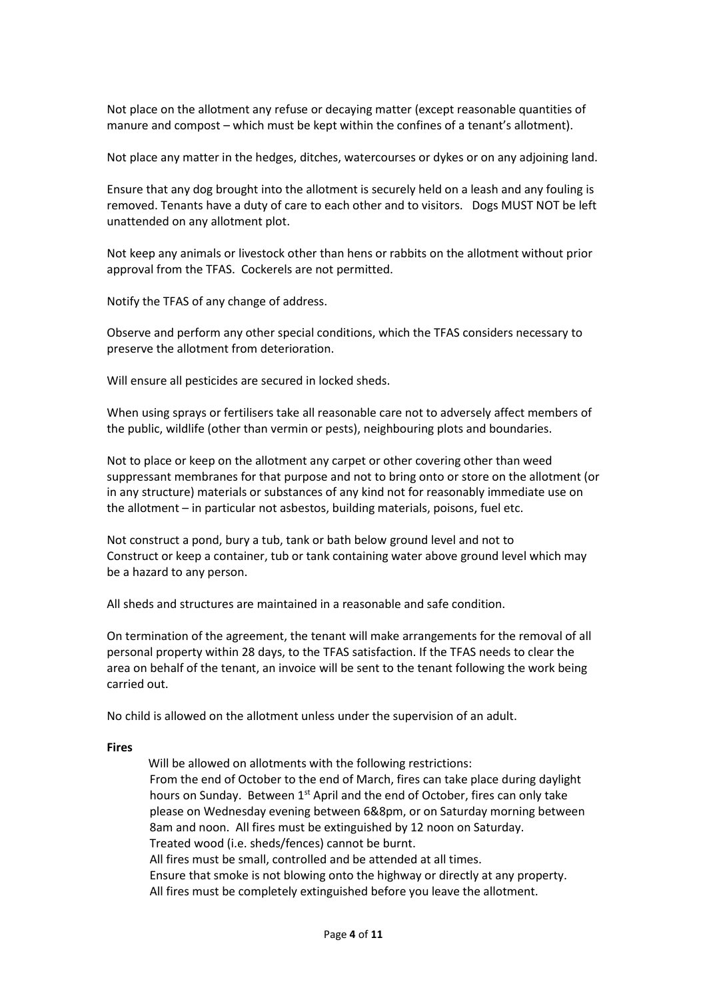Not place on the allotment any refuse or decaying matter (except reasonable quantities of manure and compost – which must be kept within the confines of a tenant's allotment).

Not place any matter in the hedges, ditches, watercourses or dykes or on any adjoining land.

Ensure that any dog brought into the allotment is securely held on a leash and any fouling is removed. Tenants have a duty of care to each other and to visitors. Dogs MUST NOT be left unattended on any allotment plot.

Not keep any animals or livestock other than hens or rabbits on the allotment without prior approval from the TFAS. Cockerels are not permitted.

Notify the TFAS of any change of address.

Observe and perform any other special conditions, which the TFAS considers necessary to preserve the allotment from deterioration.

Will ensure all pesticides are secured in locked sheds.

When using sprays or fertilisers take all reasonable care not to adversely affect members of the public, wildlife (other than vermin or pests), neighbouring plots and boundaries.

Not to place or keep on the allotment any carpet or other covering other than weed suppressant membranes for that purpose and not to bring onto or store on the allotment (or in any structure) materials or substances of any kind not for reasonably immediate use on the allotment – in particular not asbestos, building materials, poisons, fuel etc.

Not construct a pond, bury a tub, tank or bath below ground level and not to Construct or keep a container, tub or tank containing water above ground level which may be a hazard to any person.

All sheds and structures are maintained in a reasonable and safe condition.

On termination of the agreement, the tenant will make arrangements for the removal of all personal property within 28 days, to the TFAS satisfaction. If the TFAS needs to clear the area on behalf of the tenant, an invoice will be sent to the tenant following the work being carried out.

No child is allowed on the allotment unless under the supervision of an adult.

#### **Fires**

 Will be allowed on allotments with the following restrictions: From the end of October to the end of March, fires can take place during daylight hours on Sunday. Between  $1^{st}$  April and the end of October, fires can only take please on Wednesday evening between 6&8pm, or on Saturday morning between 8am and noon. All fires must be extinguished by 12 noon on Saturday. Treated wood (i.e. sheds/fences) cannot be burnt. All fires must be small, controlled and be attended at all times. Ensure that smoke is not blowing onto the highway or directly at any property. All fires must be completely extinguished before you leave the allotment.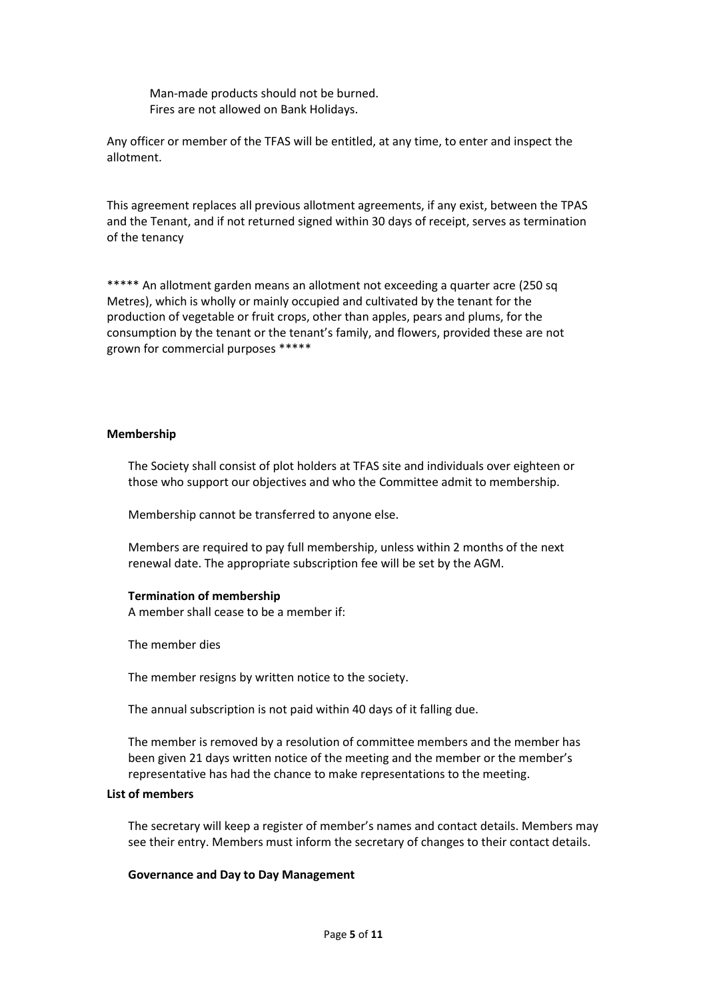Man-made products should not be burned. Fires are not allowed on Bank Holidays.

Any officer or member of the TFAS will be entitled, at any time, to enter and inspect the allotment.

This agreement replaces all previous allotment agreements, if any exist, between the TPAS and the Tenant, and if not returned signed within 30 days of receipt, serves as termination of the tenancy

\*\*\*\*\* An allotment garden means an allotment not exceeding a quarter acre (250 sq Metres), which is wholly or mainly occupied and cultivated by the tenant for the production of vegetable or fruit crops, other than apples, pears and plums, for the consumption by the tenant or the tenant's family, and flowers, provided these are not grown for commercial purposes \*\*\*\*\*

#### **Membership**

The Society shall consist of plot holders at TFAS site and individuals over eighteen or those who support our objectives and who the Committee admit to membership.

Membership cannot be transferred to anyone else.

Members are required to pay full membership, unless within 2 months of the next renewal date. The appropriate subscription fee will be set by the AGM.

#### **Termination of membership**

A member shall cease to be a member if:

The member dies

The member resigns by written notice to the society.

The annual subscription is not paid within 40 days of it falling due.

The member is removed by a resolution of committee members and the member has been given 21 days written notice of the meeting and the member or the member's representative has had the chance to make representations to the meeting.

#### **List of members**

The secretary will keep a register of member's names and contact details. Members may see their entry. Members must inform the secretary of changes to their contact details.

#### **Governance and Day to Day Management**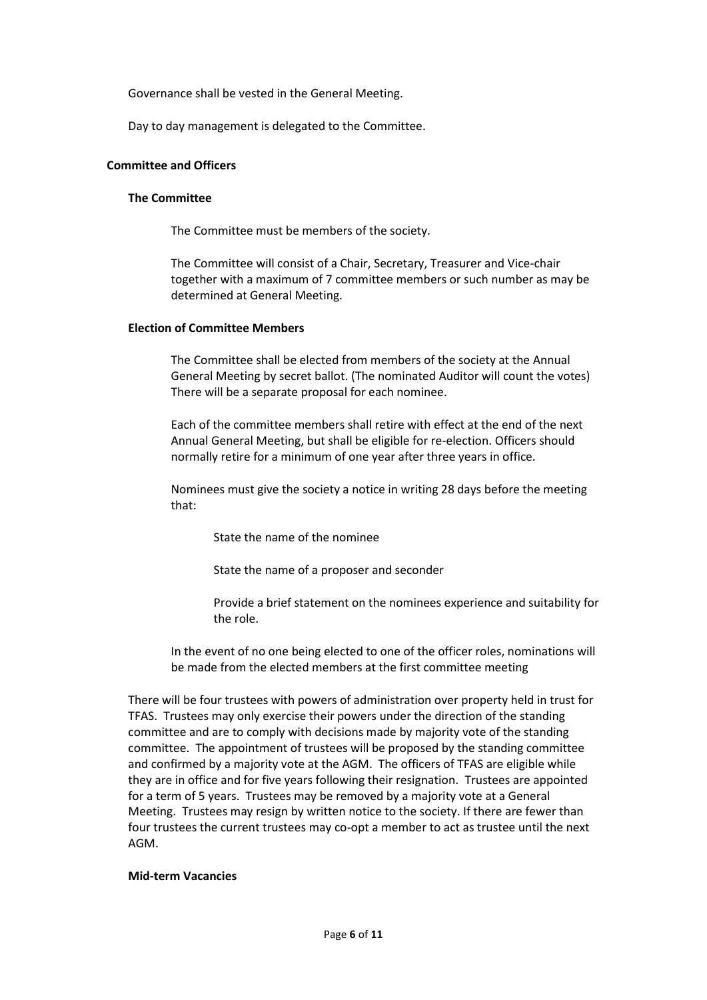Governance shall be vested in the General Meeting.

Day to day management is delegated to the Committee.

## **Committee and Officers**

#### **The Committee**

The Committee must be members of the society.

The Committee will consist of a Chair, Secretary, Treasurer and Vice-chair together with a maximum of 7 committee members or such number as may be determined at General Meeting.

#### **Election of Committee Members**

The Committee shall be elected from members of the society at the Annual General Meeting by secret ballot. (The nominated Auditor will count the votes) There will be a separate proposal for each nominee.

Each of the committee members shall retire with effect at the end of the next Annual General Meeting, but shall be eligible for re-election. Officers should normally retire for a minimum of one year after three years in office.

Nominees must give the society a notice in writing 28 days before the meeting that:

State the name of the nominee

State the name of a proposer and seconder

Provide a brief statement on the nominees experience and suitability for the role.

In the event of no one being elected to one of the officer roles, nominations will be made from the elected members at the first committee meeting

There will be four trustees with powers of administration over property held in trust for TFAS. Trustees may only exercise their powers under the direction of the standing committee and are to comply with decisions made by majority vote of the standing committee. The appointment of trustees will be proposed by the standing committee and confirmed by a majority vote at the AGM. The officers of TFAS are eligible while they are in office and for five years following their resignation. Trustees are appointed for a term of 5 years. Trustees may be removed by a majority vote at a General Meeting. Trustees may resign by written notice to the society. If there are fewer than four trustees the current trustees may co-opt a member to act as trustee until the next AGM.

#### **Mid-term Vacancies**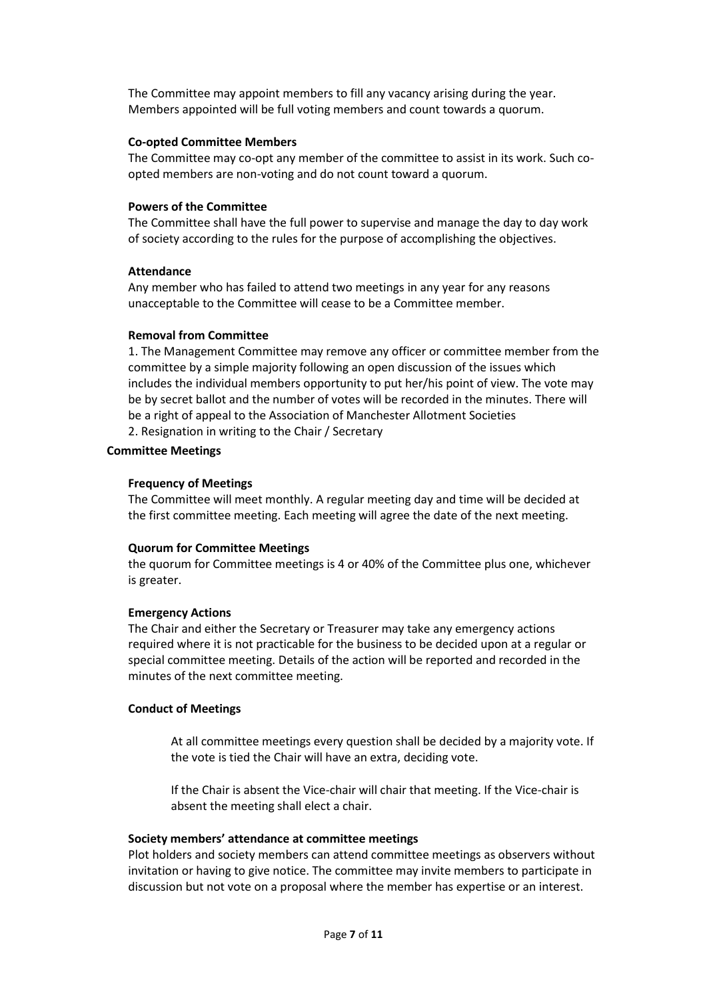The Committee may appoint members to fill any vacancy arising during the year. Members appointed will be full voting members and count towards a quorum.

## **Co-opted Committee Members**

The Committee may co-opt any member of the committee to assist in its work. Such coopted members are non-voting and do not count toward a quorum.

## **Powers of the Committee**

The Committee shall have the full power to supervise and manage the day to day work of society according to the rules for the purpose of accomplishing the objectives.

## **Attendance**

Any member who has failed to attend two meetings in any year for any reasons unacceptable to the Committee will cease to be a Committee member.

## **Removal from Committee**

1. The Management Committee may remove any officer or committee member from the committee by a simple majority following an open discussion of the issues which includes the individual members opportunity to put her/his point of view. The vote may be by secret ballot and the number of votes will be recorded in the minutes. There will be a right of appeal to the Association of Manchester Allotment Societies 2. Resignation in writing to the Chair / Secretary

## **Committee Meetings**

## **Frequency of Meetings**

The Committee will meet monthly. A regular meeting day and time will be decided at the first committee meeting. Each meeting will agree the date of the next meeting.

## **Quorum for Committee Meetings**

the quorum for Committee meetings is 4 or 40% of the Committee plus one, whichever is greater.

## **Emergency Actions**

The Chair and either the Secretary or Treasurer may take any emergency actions required where it is not practicable for the business to be decided upon at a regular or special committee meeting. Details of the action will be reported and recorded in the minutes of the next committee meeting.

## **Conduct of Meetings**

At all committee meetings every question shall be decided by a majority vote. If the vote is tied the Chair will have an extra, deciding vote.

If the Chair is absent the Vice-chair will chair that meeting. If the Vice-chair is absent the meeting shall elect a chair.

## **Society members' attendance at committee meetings**

Plot holders and society members can attend committee meetings as observers without invitation or having to give notice. The committee may invite members to participate in discussion but not vote on a proposal where the member has expertise or an interest.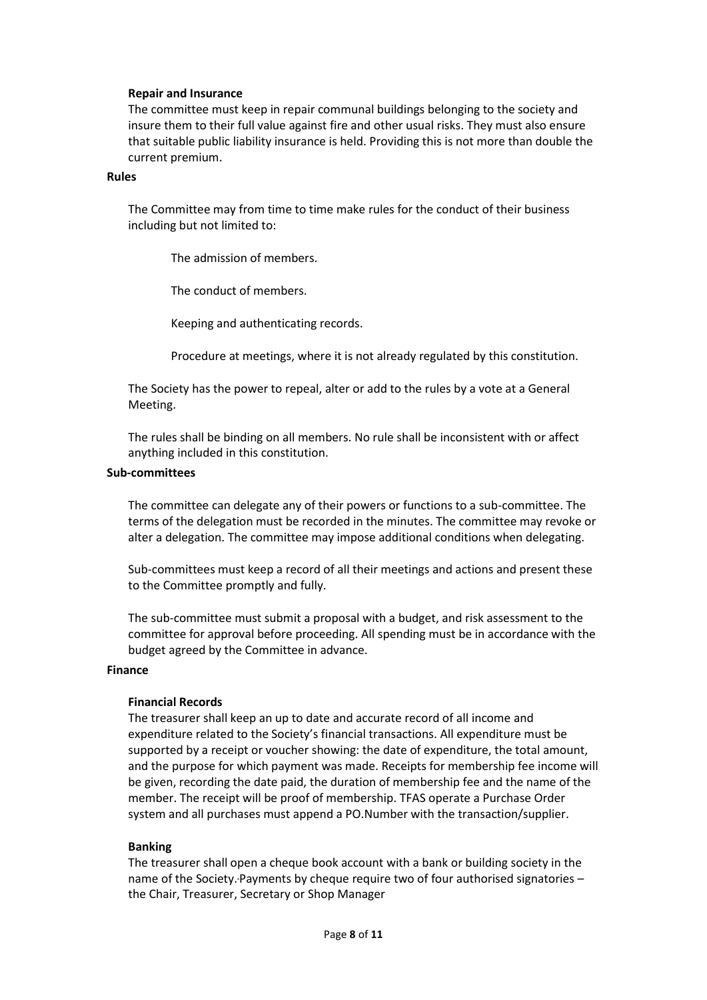#### **Repair and Insurance**

The committee must keep in repair communal buildings belonging to the society and insure them to their full value against fire and other usual risks. They must also ensure that suitable public liability insurance is held. Providing this is not more than double the current premium.

#### **Rules**

The Committee may from time to time make rules for the conduct of their business including but not limited to:

The admission of members.

The conduct of members.

Keeping and authenticating records.

Procedure at meetings, where it is not already regulated by this constitution.

The Society has the power to repeal, alter or add to the rules by a vote at a General Meeting.

The rules shall be binding on all members. No rule shall be inconsistent with or affect anything included in this constitution.

#### **Sub-committees**

The committee can delegate any of their powers or functions to a sub-committee. The terms of the delegation must be recorded in the minutes. The committee may revoke or alter a delegation. The committee may impose additional conditions when delegating.

Sub-committees must keep a record of all their meetings and actions and present these to the Committee promptly and fully.

The sub-committee must submit a proposal with a budget, and risk assessment to the committee for approval before proceeding. All spending must be in accordance with the budget agreed by the Committee in advance.

#### **Finance**

## **Financial Records**

The treasurer shall keep an up to date and accurate record of all income and expenditure related to the Society's financial transactions. All expenditure must be supported by a receipt or voucher showing: the date of expenditure, the total amount, and the purpose for which payment was made. Receipts for membership fee income will be given, recording the date paid, the duration of membership fee and the name of the member. The receipt will be proof of membership. TFAS operate a Purchase Order system and all purchases must append a PO.Number with the transaction/supplier.

## **Banking**

The treasurer shall open a cheque book account with a bank or building society in the name of the Society. Payments by cheque require two of four authorised signatories – the Chair, Treasurer, Secretary or Shop Manager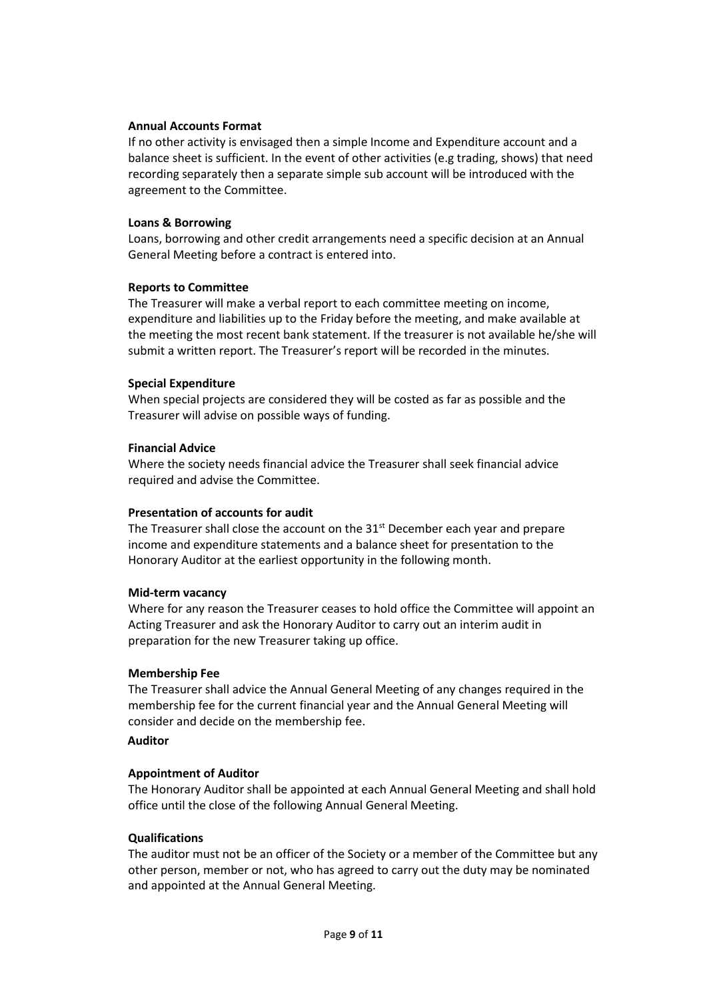## **Annual Accounts Format**

If no other activity is envisaged then a simple Income and Expenditure account and a balance sheet is sufficient. In the event of other activities (e.g trading, shows) that need recording separately then a separate simple sub account will be introduced with the agreement to the Committee.

## **Loans & Borrowing**

Loans, borrowing and other credit arrangements need a specific decision at an Annual General Meeting before a contract is entered into.

## **Reports to Committee**

The Treasurer will make a verbal report to each committee meeting on income, expenditure and liabilities up to the Friday before the meeting, and make available at the meeting the most recent bank statement. If the treasurer is not available he/she will submit a written report. The Treasurer's report will be recorded in the minutes.

## **Special Expenditure**

When special projects are considered they will be costed as far as possible and the Treasurer will advise on possible ways of funding.

## **Financial Advice**

Where the society needs financial advice the Treasurer shall seek financial advice required and advise the Committee.

## **Presentation of accounts for audit**

The Treasurer shall close the account on the 31<sup>st</sup> December each year and prepare income and expenditure statements and a balance sheet for presentation to the Honorary Auditor at the earliest opportunity in the following month.

## **Mid-term vacancy**

Where for any reason the Treasurer ceases to hold office the Committee will appoint an Acting Treasurer and ask the Honorary Auditor to carry out an interim audit in preparation for the new Treasurer taking up office.

## **Membership Fee**

The Treasurer shall advice the Annual General Meeting of any changes required in the membership fee for the current financial year and the Annual General Meeting will consider and decide on the membership fee.

## **Auditor**

## **Appointment of Auditor**

The Honorary Auditor shall be appointed at each Annual General Meeting and shall hold office until the close of the following Annual General Meeting.

## **Qualifications**

The auditor must not be an officer of the Society or a member of the Committee but any other person, member or not, who has agreed to carry out the duty may be nominated and appointed at the Annual General Meeting.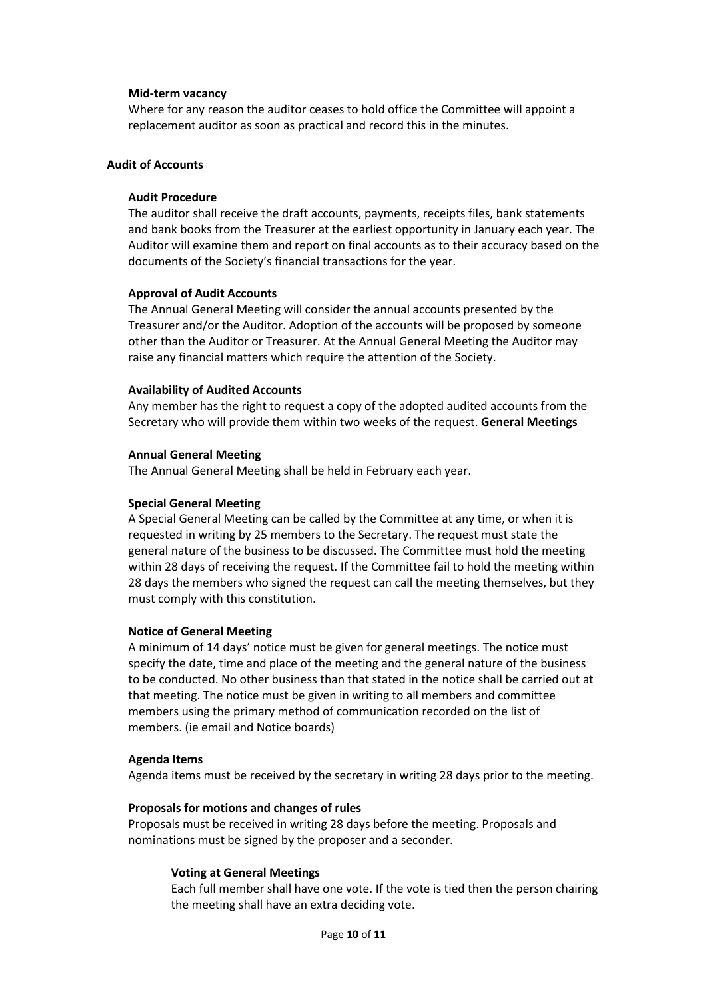#### **Mid-term vacancy**

Where for any reason the auditor ceases to hold office the Committee will appoint a replacement auditor as soon as practical and record this in the minutes.

## **Audit of Accounts**

#### **Audit Procedure**

The auditor shall receive the draft accounts, payments, receipts files, bank statements and bank books from the Treasurer at the earliest opportunity in January each year. The Auditor will examine them and report on final accounts as to their accuracy based on the documents of the Society's financial transactions for the year.

#### **Approval of Audit Accounts**

The Annual General Meeting will consider the annual accounts presented by the Treasurer and/or the Auditor. Adoption of the accounts will be proposed by someone other than the Auditor or Treasurer. At the Annual General Meeting the Auditor may raise any financial matters which require the attention of the Society.

#### **Availability of Audited Accounts**

Any member has the right to request a copy of the adopted audited accounts from the Secretary who will provide them within two weeks of the request. **General Meetings**

#### **Annual General Meeting**

The Annual General Meeting shall be held in February each year.

#### **Special General Meeting**

A Special General Meeting can be called by the Committee at any time, or when it is requested in writing by 25 members to the Secretary. The request must state the general nature of the business to be discussed. The Committee must hold the meeting within 28 days of receiving the request. If the Committee fail to hold the meeting within 28 days the members who signed the request can call the meeting themselves, but they must comply with this constitution.

#### **Notice of General Meeting**

A minimum of 14 days' notice must be given for general meetings. The notice must specify the date, time and place of the meeting and the general nature of the business to be conducted. No other business than that stated in the notice shall be carried out at that meeting. The notice must be given in writing to all members and committee members using the primary method of communication recorded on the list of members. (ie email and Notice boards)

#### **Agenda Items**

Agenda items must be received by the secretary in writing 28 days prior to the meeting.

#### **Proposals for motions and changes of rules**

Proposals must be received in writing 28 days before the meeting. Proposals and nominations must be signed by the proposer and a seconder.

#### **Voting at General Meetings**

Each full member shall have one vote. If the vote is tied then the person chairing the meeting shall have an extra deciding vote.